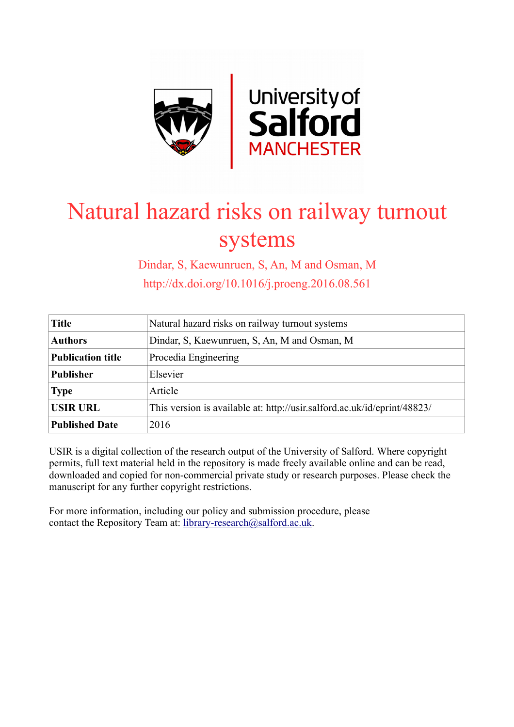

# Natural hazard risks on railway turnout systems

Dindar, S, Kaewunruen, S, An, M and Osman, M http://dx.doi.org/10.1016/j.proeng.2016.08.561

| <b>Title</b>             | Natural hazard risks on railway turnout systems                          |
|--------------------------|--------------------------------------------------------------------------|
| <b>Authors</b>           | Dindar, S. Kaewunruen, S. An, M and Osman, M                             |
| <b>Publication title</b> | Procedia Engineering                                                     |
| <b>Publisher</b>         | Elsevier                                                                 |
| <b>Type</b>              | Article                                                                  |
| <b>USIR URL</b>          | This version is available at: http://usir.salford.ac.uk/id/eprint/48823/ |
| <b>Published Date</b>    | 2016                                                                     |

USIR is a digital collection of the research output of the University of Salford. Where copyright permits, full text material held in the repository is made freely available online and can be read, downloaded and copied for non-commercial private study or research purposes. Please check the manuscript for any further copyright restrictions.

For more information, including our policy and submission procedure, please contact the Repository Team at: [library-research@salford.ac.uk.](mailto:library-research@salford.ac.uk)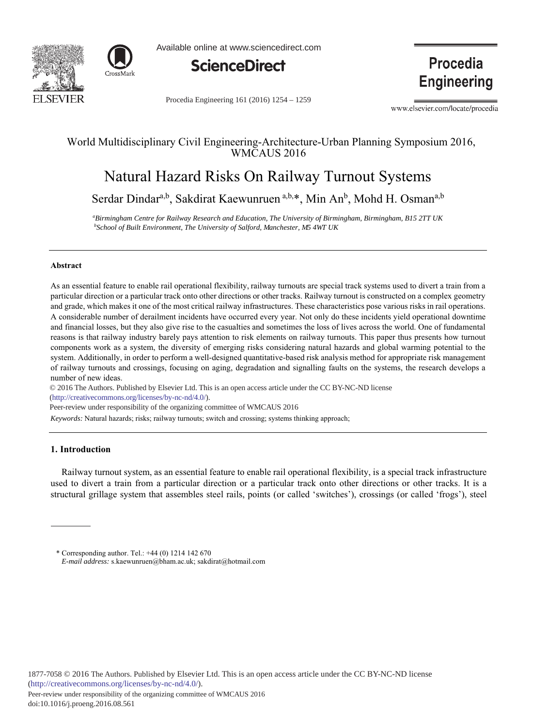



Available online at www.sciencedirect.com



Procedia Engineering 161 (2016) 1254 - 1259

Procedia **Engineering** 

www.elsevier.com/locate/procedia

# World Multidisciplinary Civil Engineering-Architecture-Urban Planning Symposium 2016, WMCAUS 2016

# Natural Hazard Risks On Railway Turnout Systems

Serdar Dindar<sup>a,b</sup>, Sakdirat Kaewunruen <sup>a,b,\*</sup>, Min An<sup>b</sup>, Mohd H. Osman<sup>a,b</sup>

*a Birmingham Centre for Railway Research and Education, The University of Birmingham, Birmingham, B15 2TT UK*  <sup>b</sup>School of Built Environment, The University of Salford, Manchester, M5 4WT UK

#### **Abstract**

As an essential feature to enable rail operational flexibility, railway turnouts are special track systems used to divert a train from a particular direction or a particular track onto other directions or other tracks. Railway turnout is constructed on a complex geometry and grade, which makes it one of the most critical railway infrastructures. These characteristics pose various risks in rail operations. A considerable number of derailment incidents have occurred every year. Not only do these incidents yield operational downtime and financial losses, but they also give rise to the casualties and sometimes the loss of lives across the world. One of fundamental reasons is that railway industry barely pays attention to risk elements on railway turnouts. This paper thus presents how turnout components work as a system, the diversity of emerging risks considering natural hazards and global warming potential to the system. Additionally, in order to perform a well-designed quantitative-based risk analysis method for appropriate risk management of railway turnouts and crossings, focusing on aging, degradation and signalling faults on the systems, the research develops a number of new ideas.

© 2016 The Authors. Published by Elsevier Ltd. This is an open access article under the CC BY-NC-ND license (http://creativecommons.org/licenses/by-nc-nd/4.0/).

Peer-review under responsibility of the organizing committee of WMCAUS 2016

*Keywords:* Natural hazards; risks; railway turnouts; switch and crossing; systems thinking approach;

#### **1.** Introduction

Railway turnout system, as an essential feature to enable rail operational flexibility, is a special track infrastructure used to divert a train from a particular direction or a particular track onto other directions or other tracks. It is a structural grillage system that assembles steel rails, points (or called 'switches'), crossings (or called 'frogs'), steel

<sup>\*</sup> Corresponding author. Tel.:  $+44$  (0) 1214 142 670 *E-mail address:* s.kaewunruen@bham.ac.uk; sakdirat@hotmail.com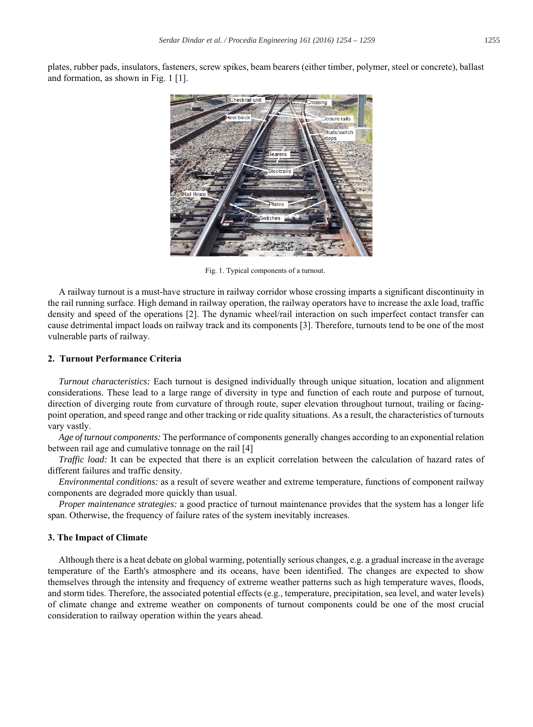plates, rubber pads, insulators, fasteners, screw spikes, beam bearers (either timber, polymer, steel or concrete), ballast and formation, as shown in Fig.  $1 \vert 1 \vert$ .



Fig. 1. Typical components of a turnout.

A railway turnout is a must-have structure in railway corridor whose crossing imparts a significant discontinuity in the rail running surface. High demand in railway operation, the railway operators have to increase the axle load, traffic density and speed of the operations [2]. The dynamic wheel/rail interaction on such imperfect contact transfer can cause detrimental impact loads on railway track and its components [3]. Therefore, turnouts tend to be one of the most vulnerable parts of railway.

## **2. Turnout Performance Criteria**

*Turnout characteristics:* Each turnout is designed individually through unique situation, location and alignment considerations. These lead to a large range of diversity in type and function of each route and purpose of turnout, direction of diverging route from curvature of through route, super elevation throughout turnout, trailing or facingpoint operation, and speed range and other tracking or ride quality situations. As a result, the characteristics of turnouts vary vastly.

Age of turnout components: The performance of components generally changes according to an exponential relation between rail age and cumulative tonnage on the rail [4]

*Traffic load:* It can be expected that there is an explicit correlation between the calculation of hazard rates of different failures and traffic density.

*Environmental conditions:* as a result of severe weather and extreme temperature, functions of component railway components are degraded more quickly than usual.

*Proper maintenance strategies:* a good practice of turnout maintenance provides that the system has a longer life span. Otherwise, the frequency of failure rates of the system inevitably increases.

#### **3. The Impact of Climate**

Although there is a heat debate on global warming, potentially serious changes, e.g. a gradual increase in the average temperature of the Earth's atmosphere and its oceans, have been identified. The changes are expected to show themselves through the intensity and frequency of extreme weather patterns such as high temperature waves, floods, and storm tides. Therefore, the associated potential effects (e.g., temperature, precipitation, sea level, and water levels) of climate change and extreme weather on components of turnout components could be one of the most crucial consideration to railway operation within the years ahead.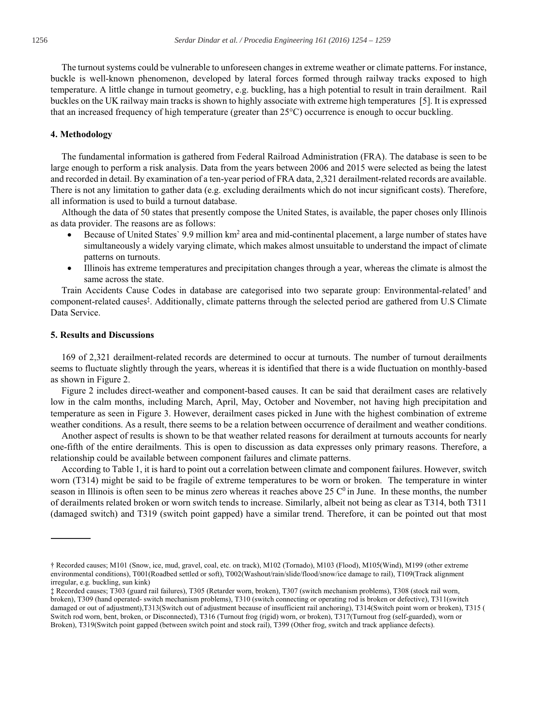The turnout systems could be vulnerable to unforeseen changes in extreme weather or climate patterns. For instance, buckle is well-known phenomenon, developed by lateral forces formed through railway tracks exposed to high temperature. A little change in turnout geometry, e.g. buckling, has a high potential to result in train derailment. Rail buckles on the UK railway main tracks is shown to highly associate with extreme high temperatures [5]. It is expressed that an increased frequency of high temperature (greater than  $25^{\circ}$ C) occurrence is enough to occur buckling.

#### 4. Methodology

The fundamental information is gathered from Federal Railroad Administration (FRA). The database is seen to be large enough to perform a risk analysis. Data from the years between 2006 and 2015 were selected as being the latest and recorded in detail. By examination of a ten-year period of FRA data, 2,321 derailment-related records are available. There is not any limitation to gather data (e.g. excluding derailments which do not incur significant costs). Therefore, all information is used to build a turnout database.

Although the data of 50 states that presently compose the United States, is available, the paper choses only Illinois as data provider. The reasons are as follows:

- Because of United States' 9.9 million km<sup>2</sup> area and mid-continental placement, a large number of states have  $\bullet$ simultaneously a widely varying climate, which makes almost unsuitable to understand the impact of climate patterns on turnouts.
- Illinois has extreme temperatures and precipitation changes through a year, whereas the climate is almost the  $\bullet$ same across the state.

Train Accidents Cause Codes in database are categorised into two separate group: Environmental-related<sup>†</sup> and component-related causes<sup>†</sup>. Additionally, climate patterns through the selected period are gathered from U.S Climate Data Service.

## **5. Results and Discussions**

169 of 2,321 derailment-related records are determined to occur at turnouts. The number of turnout derailments seems to fluctuate slightly through the years, whereas it is identified that there is a wide fluctuation on monthly-based as shown in Figure 2.

Figure 2 includes direct-weather and component-based causes. It can be said that derailment cases are relatively low in the calm months, including March, April, May, October and November, not having high precipitation and temperature as seen in Figure 3. However, derailment cases picked in June with the highest combination of extreme weather conditions. As a result, there seems to be a relation between occurrence of derailment and weather conditions.

Another aspect of results is shown to be that weather related reasons for derailment at turnouts accounts for nearly one-fifth of the entire derailments. This is open to discussion as data expresses only primary reasons. Therefore, a relationship could be available between component failures and climate patterns.

According to Table 1, it is hard to point out a correlation between climate and component failures. However, switch worn (T314) might be said to be fragile of extreme temperatures to be worn or broken. The temperature in winter season in Illinois is often seen to be minus zero whereas it reaches above 25  $\degree$  c<sup>0</sup> in June. In these months, the number of derailments related broken or worn switch tends to increase. Similarly, albeit not being as clear as T314, both T311 (damaged switch) and T319 (switch point gapped) have a similar trend. Therefore, it can be pointed out that most

<sup>†</sup> Recorded causes; M101 (Snow, ice, mud, gravel, coal, etc. on track), M102 (Tornado), M103 (Flood), M105 (Wind), M199 (other extreme environmental conditions), T001(Roadbed settled or soft), T002(Washout/rain/slide/flood/snow/ice damage to rail), T109(Track alignment irregular, e.g. buckling, sun kink)

<sup>‡</sup> Recorded causes; T303 (guard rail failures), T305 (Retarder worn, broken), T307 (switch mechanism problems), T308 (stock rail worn, broken), T309 (hand operated- switch mechanism problems), T310 (switch connecting or operating rod is broken or defective), T311(switch damaged or out of adjustment), T313(Switch out of adjustment because of insufficient rail anchoring), T314(Switch point worn or broken), T315 ( Switch rod worn, bent, broken, or Disconnected), T316 (Turnout frog (rigid) worn, or broken), T317(Turnout frog (self-guarded), worn or Broken), T319(Switch point gapped (between switch point and stock rail), T399 (Other frog, switch and track appliance defects).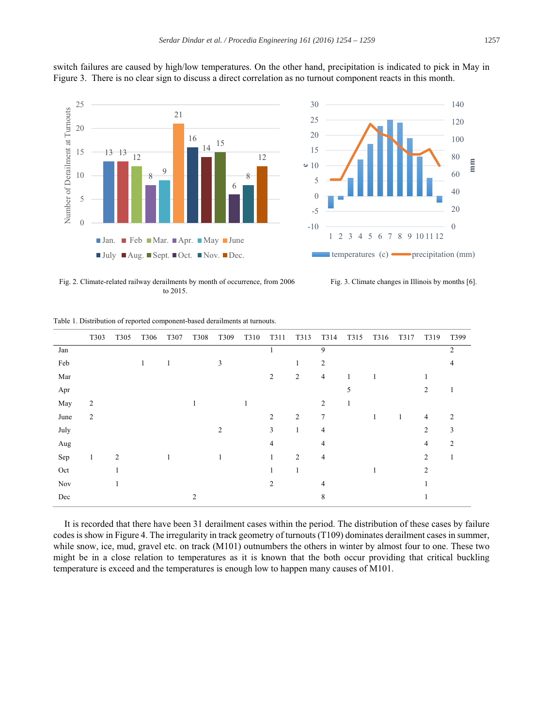

switch failures are caused by high/low temperatures. On the other hand, precipitation is indicated to pick in May in Figure 3. There is no clear sign to discuss a direct correlation as no turnout component reacts in this month.

Fig. 2. Climate-related railway derailments by month of occurrence, from 2006 to 2015.

Fig. 3. Climate changes in Illinois by months [6].

|      | T303           | T305           | T306 | T307 | T308           | T309 | T310 | T311           | T313           | T314           | T315 | T316 | T317 | T319           | T399           |
|------|----------------|----------------|------|------|----------------|------|------|----------------|----------------|----------------|------|------|------|----------------|----------------|
| Jan  |                |                |      |      |                |      |      |                |                | 9              |      |      |      |                | 2              |
| Feb  |                |                | 1    | 1    |                | 3    |      |                | 1              | $\overline{2}$ |      |      |      |                | 4              |
| Mar  |                |                |      |      |                |      |      | 2              | 2              | $\overline{4}$ | 1    | 1    |      |                |                |
| Apr  |                |                |      |      |                |      |      |                |                |                | 5    |      |      | $\overline{c}$ |                |
| May  | $\overline{c}$ |                |      |      |                |      |      |                |                | 2              |      |      |      |                |                |
| June | $\mathbf{2}$   |                |      |      |                |      |      | $\overline{c}$ | 2              | 7              |      | 1    | 1    | 4              | 2              |
| July |                |                |      |      |                | 2    |      | 3              | $\mathbf{1}$   | 4              |      |      |      | $\overline{2}$ | 3              |
| Aug  |                |                |      |      |                |      |      | 4              |                | $\overline{4}$ |      |      |      | $\overline{4}$ | $\overline{c}$ |
| Sep  | 1              | $\overline{2}$ |      | 1    |                | 1    |      | 1              | $\overline{c}$ | $\overline{4}$ |      |      |      | $\overline{2}$ |                |
| Oct  |                |                |      |      |                |      |      | 1              | 1              |                |      | 1    |      | $\overline{c}$ |                |
| Nov  |                |                |      |      |                |      |      | $\overline{c}$ |                | 4              |      |      |      |                |                |
| Dec  |                |                |      |      | $\overline{2}$ |      |      |                |                | 8              |      |      |      |                |                |

Table 1. Distribution of reported component-based derailments at turnouts.

It is recorded that there have been 31 derailment cases within the period. The distribution of these cases by failure codes is show in Figure 4. The irregularity in track geometry of turnouts  $(T109)$  dominates derailment cases in summer. while snow, ice, mud, gravel etc. on track (M101) outnumbers the others in winter by almost four to one. These two might be in a close relation to temperatures as it is known that the both occur providing that critical buckling temperature is exceed and the temperatures is enough low to happen many causes of M101.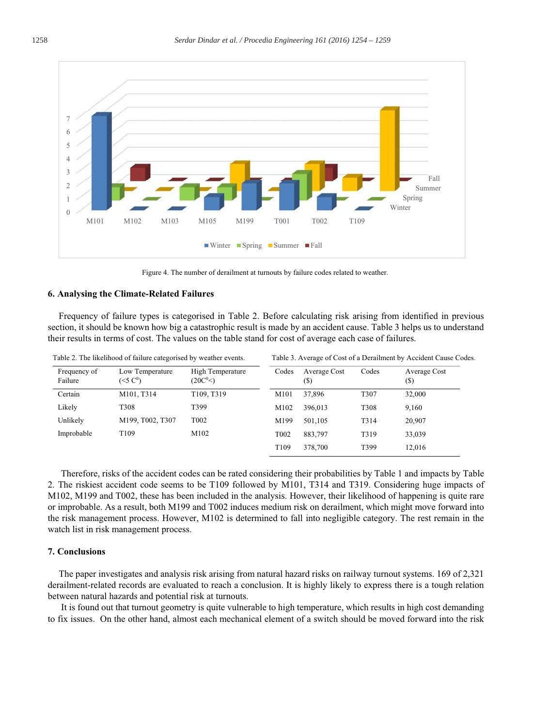

Figure 4. The number of derailment at turnouts by failure codes related to weather.

#### 6. Analysing the Climate-Related Failures

Frequency of failure types is categorised in Table 2. Before calculating risk arising from identified in previous section, it should be known how big a catastrophic result is made by an accident cause. Table 3 helps us to understand their results in terms of cost. The values on the table stand for cost of average each case of failures.

Table 2. The likelihood of failure categorised by weather events.

|  |  |  | l'able 3. Average of Cost of a Derailment by Accident Cause Codes |  |  |  |  |  |  |  |  |  |  |  |  |  |  |  |  |  |
|--|--|--|-------------------------------------------------------------------|--|--|--|--|--|--|--|--|--|--|--|--|--|--|--|--|--|
|--|--|--|-------------------------------------------------------------------|--|--|--|--|--|--|--|--|--|--|--|--|--|--|--|--|--|

| Frequency of<br>Failure | Low Temperature<br>(<5 C <sup>0</sup> ) | High Temperature<br>(20C <sup>0</sup> <) | Codes             | Average Cost<br>(\$) | Codes | Average Cost<br>(\$) |
|-------------------------|-----------------------------------------|------------------------------------------|-------------------|----------------------|-------|----------------------|
| Certain                 | M101, T314                              | T109, T319                               | M101              | 37,896               | T307  | 32,000               |
| Likely                  | T <sub>308</sub>                        | T399                                     | M102              | 396,013              | T308  | 9,160                |
| Unlikely                | M199, T002, T307                        | T <sub>0</sub> 02                        | M199              | 501.105              | T314  | 20.907               |
| Improbable              | T <sub>109</sub>                        | M102                                     | T <sub>0</sub> 02 | 883,797              | T319  | 33,039               |
|                         |                                         |                                          | T <sub>109</sub>  | 378,700              | T399  | 12.016               |

Therefore, risks of the accident codes can be rated considering their probabilities by Table 1 and impacts by Table 2. The riskiest accident code seems to be T109 followed by M101, T314 and T319. Considering huge impacts of M102, M199 and T002, these has been included in the analysis. However, their likelihood of happening is quite rare or improbable. As a result, both M199 and T002 induces medium risk on derailment, which might move forward into the risk management process. However, M102 is determined to fall into negligible category. The rest remain in the watch list in risk management process.

#### 7. Conclusions

The paper investigates and analysis risk arising from natural hazard risks on railway turnout systems. 169 of 2,321 derailment-related records are evaluated to reach a conclusion. It is highly likely to express there is a tough relation between natural hazards and potential risk at turnouts.

It is found out that turnout geometry is quite vulnerable to high temperature, which results in high cost demanding to fix issues. On the other hand, almost each mechanical element of a switch should be moved forward into the risk